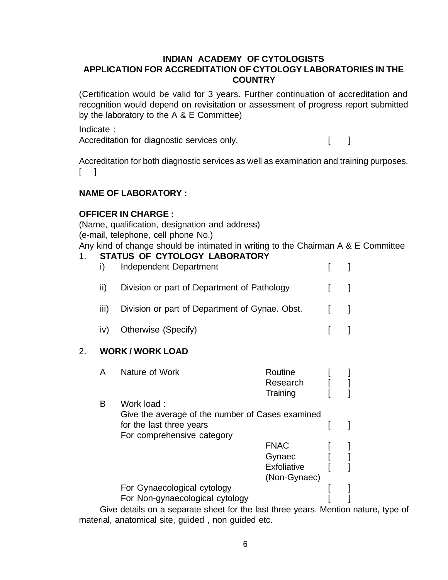## **INDIAN ACADEMY OF CYTOLOGISTS APPLICATION FOR ACCREDITATION OF CYTOLOGY LABORATORIES IN THE COUNTRY**

(Certification would be valid for 3 years. Further continuation of accreditation and recognition would depend on revisitation or assessment of progress report submitted by the laboratory to the A & E Committee)

Indicate :

Accreditation for diagnostic services only.

Accreditation for both diagnostic services as well as examination and training purposes.  $\lceil$  1

# **NAME OF LABORATORY :**

## **OFFICER IN CHARGE :**

(Name, qualification, designation and address) (e-mail, telephone, cell phone No.)

Any kind of change should be intimated in writing to the Chairman A & E Committee

#### 1. **STATUS OF CYTOLOGY LABORATORY**

| $\mathbf{I}$   | Independent Department                         |                               |  |
|----------------|------------------------------------------------|-------------------------------|--|
| $\mathbf{H}$   | Division or part of Department of Pathology    | $\mathbf{1}$                  |  |
| $\mathbf{III}$ | Division or part of Department of Gynae. Obst. | $\mathbf{1}$ $\mathbf{1}$     |  |
| iv)            | Otherwise (Specify)                            | $\mathbf{1}$ and $\mathbf{1}$ |  |
|                |                                                |                               |  |

## 2. **WORK / WORK LOAD**

|   | Nature of Work                                             | Routine      |                       |  |
|---|------------------------------------------------------------|--------------|-----------------------|--|
|   |                                                            | Research     |                       |  |
|   |                                                            | Training     |                       |  |
| в | Work load :                                                |              |                       |  |
|   | Give the average of the number of Cases examined           |              |                       |  |
|   | for the last three years                                   |              |                       |  |
|   | For comprehensive category                                 |              |                       |  |
|   |                                                            | <b>FNAC</b>  |                       |  |
|   |                                                            | Gynaec       |                       |  |
|   |                                                            | Exfoliative  |                       |  |
|   |                                                            | (Non-Gynaec) |                       |  |
|   | For Gynaecological cytology                                |              |                       |  |
|   | For Non-gynaecological cytology                            |              |                       |  |
|   | Obra dataila an a aananata alaaat fan tha laat thuaa waana |              | <b>M</b> A = = 1, = = |  |

Give details on a separate sheet for the last three years. Mention nature, type of material, anatomical site, guided , non guided etc.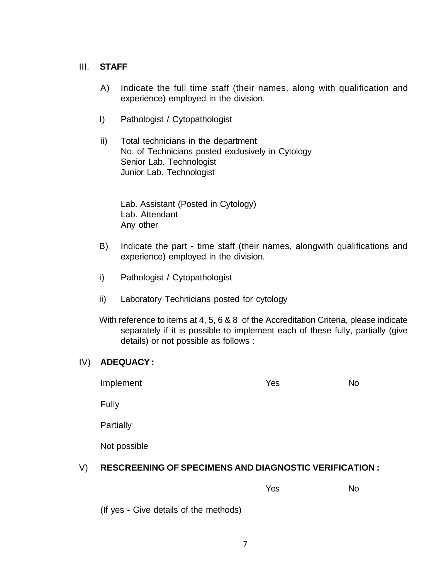#### III. **STAFF**

- A) Indicate the full time staff (their names, along with qualification and experience) employed in the division.
- I) Pathologist / Cytopathologist
- ii) Total technicians in the department No. of Technicians posted exclusively in Cytology Senior Lab. Technologist Junior Lab. Technologist

Lab. Assistant (Posted in Cytology) Lab. Attendant Any other

- B) Indicate the part time staff (their names, alongwith qualifications and experience) employed in the division.
- i) Pathologist / Cytopathologist
- ii) Laboratory Technicians posted for cytology
- With reference to items at 4, 5, 6 & 8 of the Accreditation Criteria, please indicate separately if it is possible to implement each of these fully, partially (give details) or not possible as follows :

## IV) **ADEQUACY :**

| Implement | Yes | <b>No</b> |
|-----------|-----|-----------|
|           |     |           |

Fully

**Partially** 

Not possible

# V) **RESCREENING OF SPECIMENS AND DIAGNOSTIC VERIFICATION :**

Yes No

(If yes - Give details of the methods)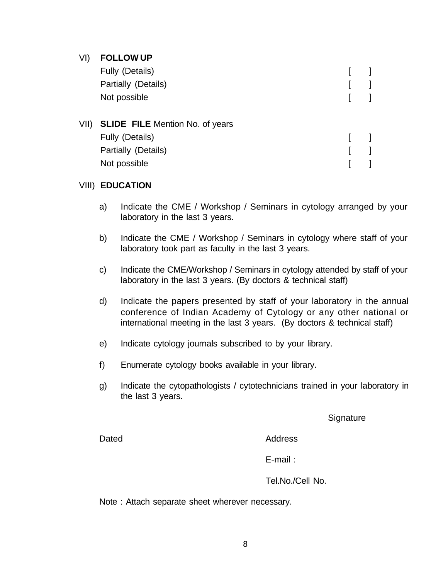## VI) **FOLLOW UP**

| Fully (Details)                      |  |
|--------------------------------------|--|
| Partially (Details)                  |  |
| Not possible                         |  |
| VII) SLIDE FILE Mention No. of years |  |
| Fully (Details)                      |  |

| Fully (Details)     |  |
|---------------------|--|
| Partially (Details) |  |
| Not possible        |  |

## VIII) **EDUCATION**

- a) Indicate the CME / Workshop / Seminars in cytology arranged by your laboratory in the last 3 years.
- b) Indicate the CME / Workshop / Seminars in cytology where staff of your laboratory took part as faculty in the last 3 years.
- c) Indicate the CME/Workshop / Seminars in cytology attended by staff of your laboratory in the last 3 years. (By doctors & technical staff)
- d) Indicate the papers presented by staff of your laboratory in the annual conference of Indian Academy of Cytology or any other national or international meeting in the last 3 years. (By doctors & technical staff)
- e) Indicate cytology journals subscribed to by your library.
- f) Enumerate cytology books available in your library.
- g) Indicate the cytopathologists / cytotechnicians trained in your laboratory in the last 3 years.

**Signature** 

Dated **Address** 

E-mail :

Tel.No./Cell No.

Note : Attach separate sheet wherever necessary.